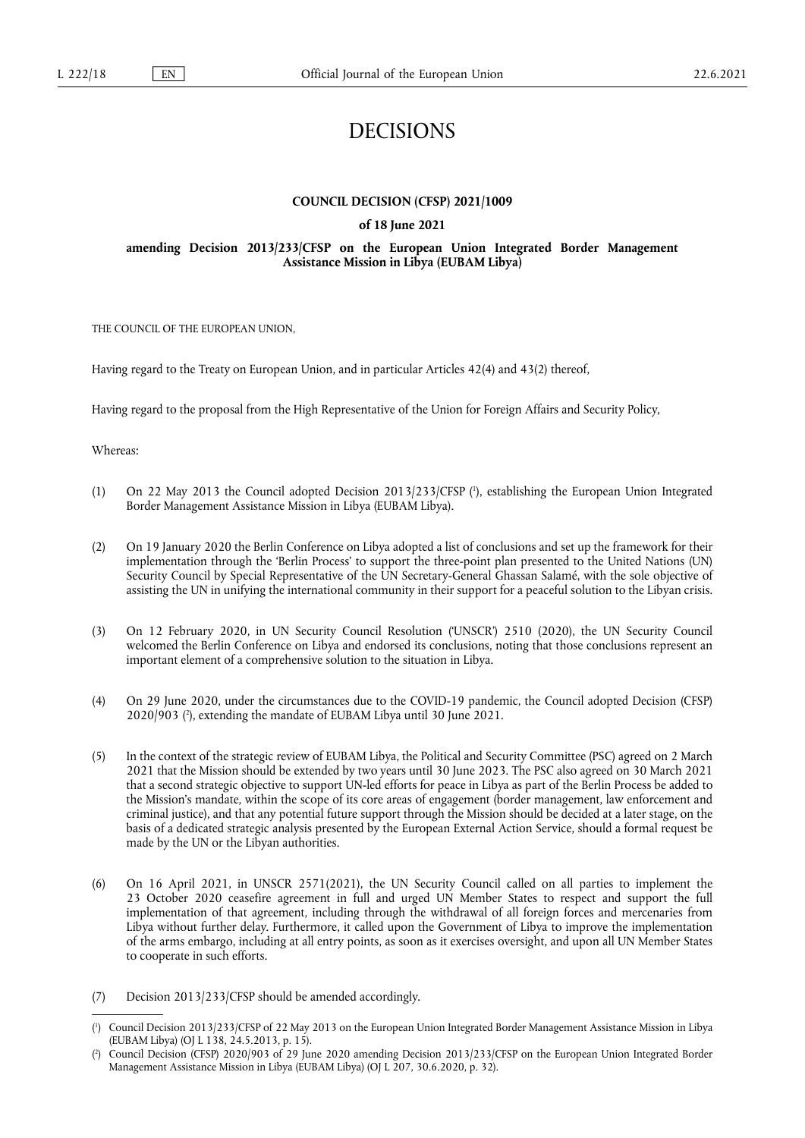# DECISIONS

# **COUNCIL DECISION (CFSP) 2021/1009**

# **of 18 June 2021**

## **amending Decision 2013/233/CFSP on the European Union Integrated Border Management Assistance Mission in Libya (EUBAM Libya)**

THE COUNCIL OF THE EUROPEAN UNION,

Having regard to the Treaty on European Union, and in particular Articles 42(4) and 43(2) thereof,

Having regard to the proposal from the High Representative of the Union for Foreign Affairs and Security Policy,

Whereas:

- <span id="page-0-2"></span>(1) On 22 May 2013 the Council adopted Decision 2013/233/CFSP ( 1 [\),](#page-0-0) establishing the European Union Integrated Border Management Assistance Mission in Libya (EUBAM Libya).
- (2) On 19 January 2020 the Berlin Conference on Libya adopted a list of conclusions and set up the framework for their implementation through the 'Berlin Process' to support the three-point plan presented to the United Nations (UN) Security Council by Special Representative of the UN Secretary-General Ghassan Salamé, with the sole objective of assisting the UN in unifying the international community in their support for a peaceful solution to the Libyan crisis.
- (3) On 12 February 2020, in UN Security Council Resolution ('UNSCR') 2510 (2020), the UN Security Council welcomed the Berlin Conference on Libya and endorsed its conclusions, noting that those conclusions represent an important element of a comprehensive solution to the situation in Libya.
- <span id="page-0-3"></span>(4) On 29 June 2020, under the circumstances due to the COVID-19 pandemic, the Council adopted Decision (CFSP) 2020/903 ( 2 [\),](#page-0-1) extending the mandate of EUBAM Libya until 30 June 2021.
- (5) In the context of the strategic review of EUBAM Libya, the Political and Security Committee (PSC) agreed on 2 March 2021 that the Mission should be extended by two years until 30 June 2023. The PSC also agreed on 30 March 2021 that a second strategic objective to support UN-led efforts for peace in Libya as part of the Berlin Process be added to the Mission's mandate, within the scope of its core areas of engagement (border management, law enforcement and criminal justice), and that any potential future support through the Mission should be decided at a later stage, on the basis of a dedicated strategic analysis presented by the European External Action Service, should a formal request be made by the UN or the Libyan authorities.
- (6) On 16 April 2021, in UNSCR 2571(2021), the UN Security Council called on all parties to implement the 23 October 2020 ceasefire agreement in full and urged UN Member States to respect and support the full implementation of that agreement, including through the withdrawal of all foreign forces and mercenaries from Libya without further delay. Furthermore, it called upon the Government of Libya to improve the implementation of the arms embargo, including at all entry points, as soon as it exercises oversight, and upon all UN Member States to cooperate in such efforts.
- (7) Decision 2013/233/CFSP should be amended accordingly.

<span id="page-0-0"></span>[<sup>\(</sup>](#page-0-2) 1 ) Council Decision 2013/233/CFSP of 22 May 2013 on the European Union Integrated Border Management Assistance Mission in Libya (EUBAM Libya) (OJ L 138, 24.5.2013, p. 15).

<span id="page-0-1"></span>[<sup>\(</sup>](#page-0-3) 2 ) Council Decision (CFSP) 2020/903 of 29 June 2020 amending Decision 2013/233/CFSP on the European Union Integrated Border Management Assistance Mission in Libya (EUBAM Libya) (OJ L 207, 30.6.2020, p. 32).